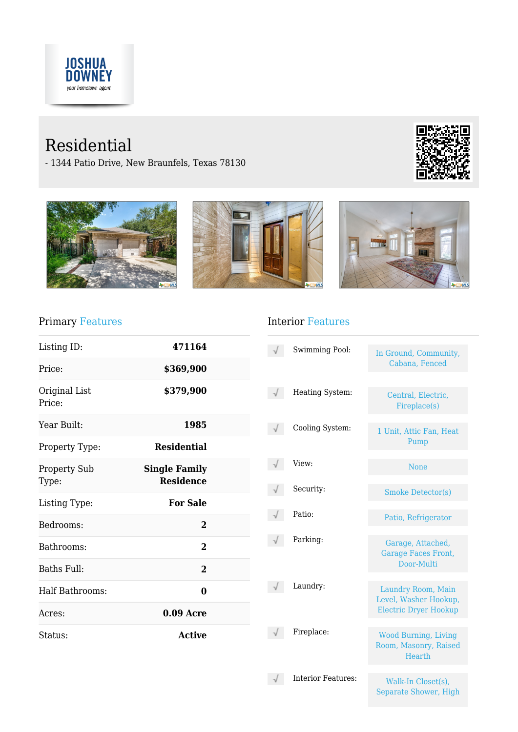

# Residential

- 1344 Patio Drive, New Braunfels, Texas 78130









## Primary Features

| Listing ID:                  | 471164                                   |  |
|------------------------------|------------------------------------------|--|
| Price:                       | \$369,900                                |  |
| Original List<br>Price:      | \$379,900                                |  |
| Year Built:                  | 1985                                     |  |
| Property Type:               | <b>Residential</b>                       |  |
| <b>Property Sub</b><br>Type: | <b>Single Family</b><br><b>Residence</b> |  |
| Listing Type:                | <b>For Sale</b>                          |  |
| Bedrooms:                    | $\overline{2}$                           |  |
| Bathrooms:                   | $\overline{2}$                           |  |
| Baths Full:                  | $\overline{2}$                           |  |
| Half Bathrooms:              | 0                                        |  |
| Acres:                       | $0.09$ Acre                              |  |
| Status:                      | <b>Active</b>                            |  |

### Interior Features

| <b>Swimming Pool:</b>     | In Ground, Community,<br>Cabana, Fenced                                     |
|---------------------------|-----------------------------------------------------------------------------|
| Heating System:           | Central, Electric,<br>Fireplace(s)                                          |
| Cooling System:           | 1 Unit, Attic Fan, Heat<br>Pump                                             |
| View:                     | <b>None</b>                                                                 |
| Security:                 | <b>Smoke Detector(s)</b>                                                    |
| Patio:                    | Patio, Refrigerator                                                         |
| Parking:                  | Garage, Attached,<br><b>Garage Faces Front,</b><br>Door-Multi               |
| Laundry:                  | Laundry Room, Main<br>Level, Washer Hookup,<br><b>Electric Dryer Hookup</b> |
| Fireplace:                | <b>Wood Burning, Living</b><br>Room, Masonry, Raised<br><b>Hearth</b>       |
| <b>Interior Features:</b> | Walk-In Closet(s),                                                          |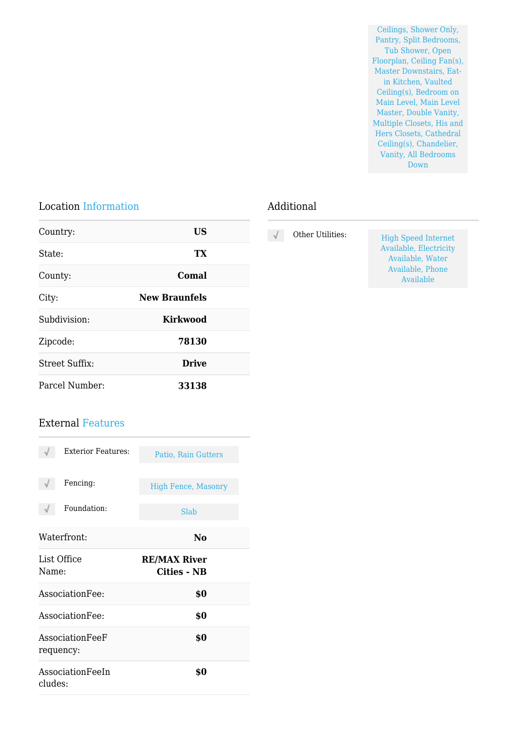Ceilings, Shower Only, Pantry, Split Bedrooms, Tub Shower, Open Floorplan, Ceiling Fan(s), Master Downstairs, Eatin Kitchen, Vaulted Ceiling(s), Bedroom on Main Level, Main Level Master, Double Vanity, Multiple Closets, His and Hers Closets, Cathedral Ceiling(s), Chandelier, Vanity, All Bedrooms Down

Available

#### Location Information

| Country:              | US                   |  |
|-----------------------|----------------------|--|
| State:                | TX                   |  |
| County:               | Comal                |  |
| City:                 | <b>New Braunfels</b> |  |
| Subdivision:          | <b>Kirkwood</b>      |  |
| Zipcode:              | 78130                |  |
| <b>Street Suffix:</b> | <b>Drive</b>         |  |
| Parcel Number:        | 33138                |  |

#### External Features

| <b>Exterior Features:</b>    | Patio, Rain Gutters                |
|------------------------------|------------------------------------|
| Fencing:                     | <b>High Fence, Masonry</b>         |
| Foundation:                  | Slab                               |
| Waterfront:                  | No                                 |
| List Office<br>Name:         | <b>RE/MAX River</b><br>Cities - NB |
| AssociationFee:              | \$0                                |
| AssociationFee:              | \$0                                |
| AssociationFeeF<br>requency: | \$0                                |
| AssociationFeeIn<br>cludes:  | \$0                                |

#### Additional

| $\sqrt{ }$ | Other Utilities: | <b>High Speed Internet</b> |
|------------|------------------|----------------------------|
|            |                  | Available, Electricity     |
|            |                  | Available, Water           |
|            |                  | Available, Phone           |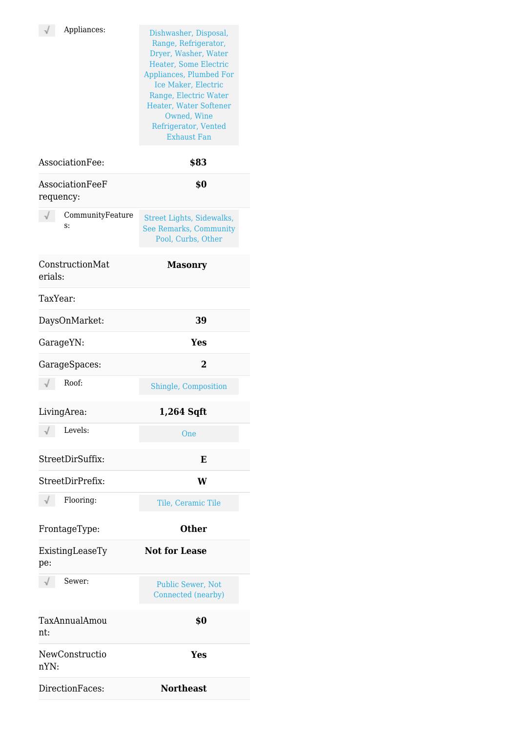Appliances: Dishwasher, Disposal, Range, Refrigerator, Dryer, Washer, Water Heater, Some Electric Appliances, Plumbed For Ice Maker, Electric Range, Electric Water Heater, Water Softener Owned, Wine Refrigerator, Vented Exhaust Fan

| AssociationFee:              | \$83                                                                             |
|------------------------------|----------------------------------------------------------------------------------|
| AssociationFeeF<br>requency: | \$0                                                                              |
| CommunityFeature<br>S:       | Street Lights, Sidewalks,<br><b>See Remarks, Community</b><br>Pool, Curbs, Other |
| ConstructionMat<br>erials:   | <b>Masonry</b>                                                                   |
| TaxYear:                     |                                                                                  |
| DaysOnMarket:                | 39                                                                               |
| GarageYN:                    | Yes                                                                              |
| GarageSpaces:                | $\overline{2}$                                                                   |
| Roof:<br>$\sqrt{}$           | Shingle, Composition                                                             |
| LivingArea:                  | 1,264 Sqft                                                                       |
| Levels:                      | One                                                                              |
| StreetDirSuffix:             | E                                                                                |
| StreetDirPrefix:             | W                                                                                |
| Flooring:                    | Tile, Ceramic Tile                                                               |
| FrontageType:                | <b>Other</b>                                                                     |
| ExistingLeaseTy<br>pe:       | <b>Not for Lease</b>                                                             |
| Sewer:                       | Public Sewer, Not<br>Connected (nearby)                                          |
| TaxAnnualAmou<br>nt:         | \$0                                                                              |
| NewConstructio<br>nYN:       | Yes                                                                              |
| DirectionFaces:              | <b>Northeast</b>                                                                 |